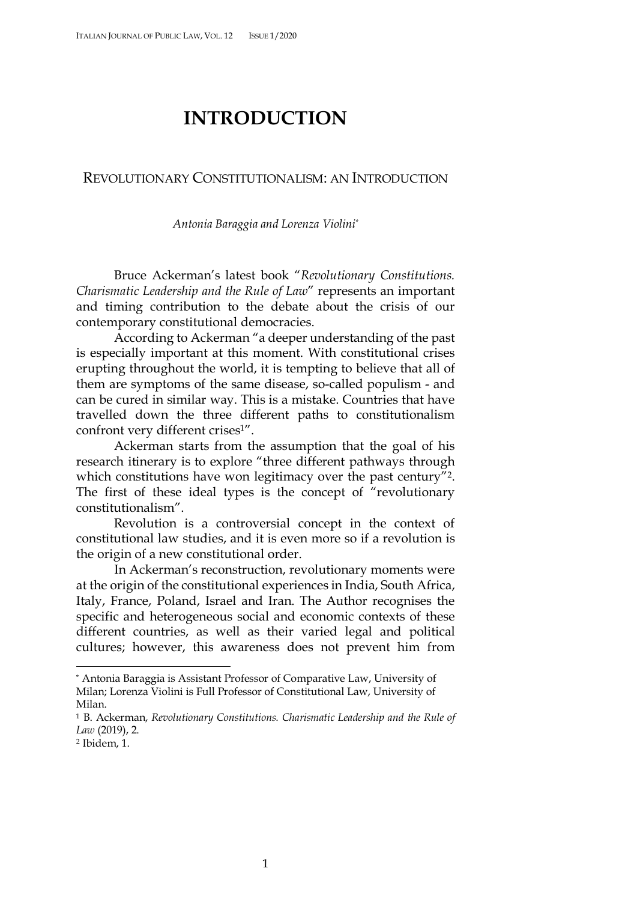## **INTRODUCTION**

## REVOLUTIONARY CONSTITUTIONALISM: AN INTRODUCTION

*Antonia Baraggia and Lorenza Violini\**

Bruce Ackerman's latest book "*Revolutionary Constitutions. Charismatic Leadership and the Rule of Law*" represents an important and timing contribution to the debate about the crisis of our contemporary constitutional democracies.

According to Ackerman "a deeper understanding of the past is especially important at this moment. With constitutional crises erupting throughout the world, it is tempting to believe that all of them are symptoms of the same disease, so-called populism - and can be cured in similar way. This is a mistake. Countries that have travelled down the three different paths to constitutionalism confront very different crises<sup>1"</sup>.

Ackerman starts from the assumption that the goal of his research itinerary is to explore "three different pathways through which constitutions have won legitimacy over the past century"<sup>2</sup>. The first of these ideal types is the concept of "revolutionary constitutionalism".

Revolution is a controversial concept in the context of constitutional law studies, and it is even more so if a revolution is the origin of a new constitutional order.

In Ackerman's reconstruction, revolutionary moments were at the origin of the constitutional experiences in India, South Africa, Italy, France, Poland, Israel and Iran. The Author recognises the specific and heterogeneous social and economic contexts of these different countries, as well as their varied legal and political cultures; however, this awareness does not prevent him from

 <sup>\*</sup> Antonia Baraggia is Assistant Professor of Comparative Law, University of Milan; Lorenza Violini is Full Professor of Constitutional Law, University of Milan.

<sup>1</sup> B. Ackerman, *Revolutionary Constitutions. Charismatic Leadership and the Rule of Law* (2019), 2.

<sup>2</sup> Ibidem, 1.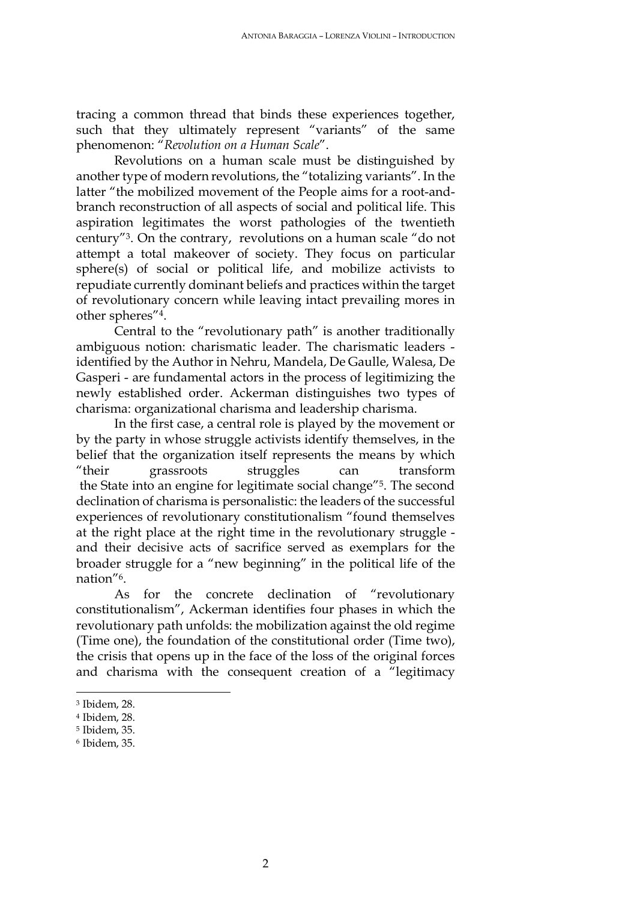tracing a common thread that binds these experiences together, such that they ultimately represent "variants" of the same phenomenon: "*Revolution on a Human Scale*".

Revolutions on a human scale must be distinguished by another type of modern revolutions, the "totalizing variants". In the latter "the mobilized movement of the People aims for a root-andbranch reconstruction of all aspects of social and political life. This aspiration legitimates the worst pathologies of the twentieth century"3. On the contrary, revolutions on a human scale "do not attempt a total makeover of society. They focus on particular sphere(s) of social or political life, and mobilize activists to repudiate currently dominant beliefs and practices within the target of revolutionary concern while leaving intact prevailing mores in other spheres"4.

Central to the "revolutionary path" is another traditionally ambiguous notion: charismatic leader. The charismatic leaders identified by the Author in Nehru, Mandela, De Gaulle, Walesa, De Gasperi - are fundamental actors in the process of legitimizing the newly established order. Ackerman distinguishes two types of charisma: organizational charisma and leadership charisma.

In the first case, a central role is played by the movement or by the party in whose struggle activists identify themselves, in the belief that the organization itself represents the means by which "their grassroots struggles can transform the State into an engine for legitimate social change"5. The second declination of charisma is personalistic: the leaders of the successful experiences of revolutionary constitutionalism "found themselves at the right place at the right time in the revolutionary struggle and their decisive acts of sacrifice served as exemplars for the broader struggle for a "new beginning" in the political life of the nation"6.

As for the concrete declination of "revolutionary constitutionalism", Ackerman identifies four phases in which the revolutionary path unfolds: the mobilization against the old regime (Time one), the foundation of the constitutional order (Time two), the crisis that opens up in the face of the loss of the original forces and charisma with the consequent creation of a "legitimacy

 <sup>3</sup> Ibidem, 28.

<sup>4</sup> Ibidem, 28.

<sup>5</sup> Ibidem, 35.

<sup>6</sup> Ibidem, 35.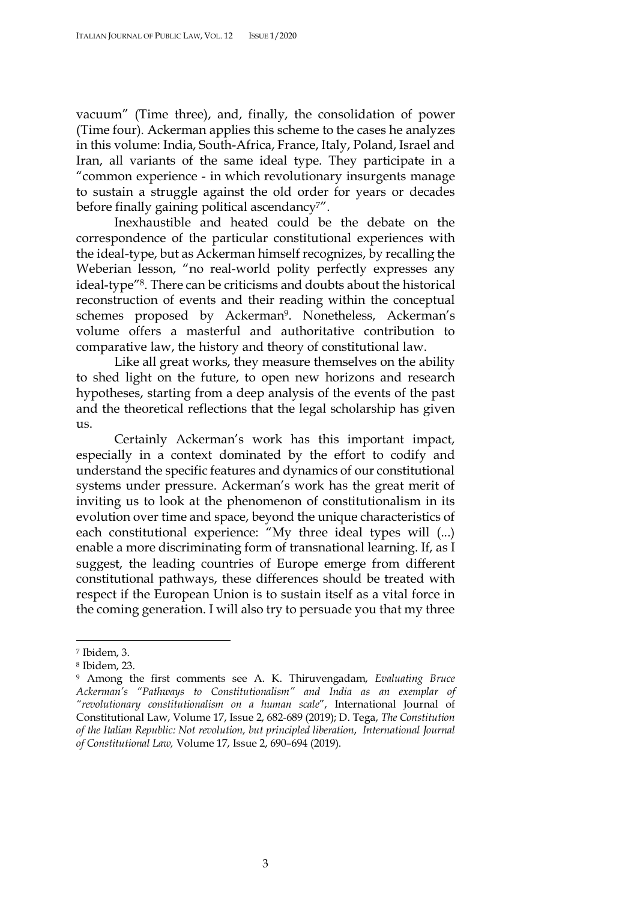vacuum" (Time three), and, finally, the consolidation of power (Time four). Ackerman applies this scheme to the cases he analyzes in this volume: India, South-Africa, France, Italy, Poland, Israel and Iran, all variants of the same ideal type. They participate in a "common experience - in which revolutionary insurgents manage to sustain a struggle against the old order for years or decades before finally gaining political ascendancy<sup>7"</sup>.

Inexhaustible and heated could be the debate on the correspondence of the particular constitutional experiences with the ideal-type, but as Ackerman himself recognizes, by recalling the Weberian lesson, "no real-world polity perfectly expresses any ideal-type"8. There can be criticisms and doubts about the historical reconstruction of events and their reading within the conceptual schemes proposed by Ackerman<sup>9</sup>. Nonetheless, Ackerman's volume offers a masterful and authoritative contribution to comparative law, the history and theory of constitutional law.

Like all great works, they measure themselves on the ability to shed light on the future, to open new horizons and research hypotheses, starting from a deep analysis of the events of the past and the theoretical reflections that the legal scholarship has given us.

Certainly Ackerman's work has this important impact, especially in a context dominated by the effort to codify and understand the specific features and dynamics of our constitutional systems under pressure. Ackerman's work has the great merit of inviting us to look at the phenomenon of constitutionalism in its evolution over time and space, beyond the unique characteristics of each constitutional experience: "My three ideal types will (...) enable a more discriminating form of transnational learning. If, as I suggest, the leading countries of Europe emerge from different constitutional pathways, these differences should be treated with respect if the European Union is to sustain itself as a vital force in the coming generation. I will also try to persuade you that my three

 <sup>7</sup> Ibidem, 3.

<sup>8</sup> Ibidem, 23.

<sup>9</sup> Among the first comments see A. K. Thiruvengadam, *Evaluating Bruce Ackerman's "Pathways to Constitutionalism" and India as an exemplar of "revolutionary constitutionalism on a human scale*", International Journal of Constitutional Law, Volume 17, Issue 2, 682-689 (2019); D. Tega, *The Constitution of the Italian Republic: Not revolution, but principled liberation*, *International Journal of Constitutional Law,* Volume 17, Issue 2, 690–694 (2019).